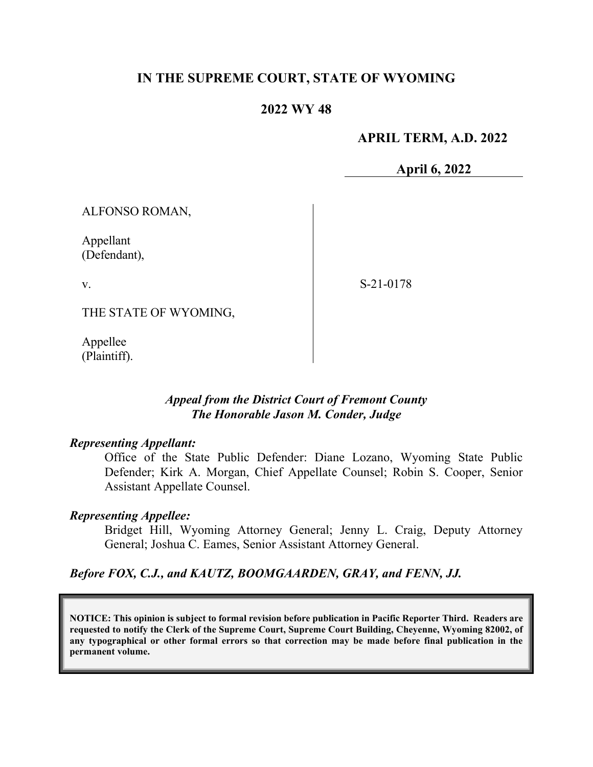## **IN THE SUPREME COURT, STATE OF WYOMING**

### **2022 WY 48**

### **APRIL TERM, A.D. 2022**

**April 6, 2022**

ALFONSO ROMAN,

Appellant (Defendant),

v.

S-21-0178

THE STATE OF WYOMING,

Appellee (Plaintiff).

## *Appeal from the District Court of Fremont County The Honorable Jason M. Conder, Judge*

#### *Representing Appellant:*

Office of the State Public Defender: Diane Lozano, Wyoming State Public Defender; Kirk A. Morgan, Chief Appellate Counsel; Robin S. Cooper, Senior Assistant Appellate Counsel.

#### *Representing Appellee:*

Bridget Hill, Wyoming Attorney General; Jenny L. Craig, Deputy Attorney General; Joshua C. Eames, Senior Assistant Attorney General.

#### *Before FOX, C.J., and KAUTZ, BOOMGAARDEN, GRAY, and FENN, JJ.*

**NOTICE: This opinion is subject to formal revision before publication in Pacific Reporter Third. Readers are requested to notify the Clerk of the Supreme Court, Supreme Court Building, Cheyenne, Wyoming 82002, of any typographical or other formal errors so that correction may be made before final publication in the permanent volume.**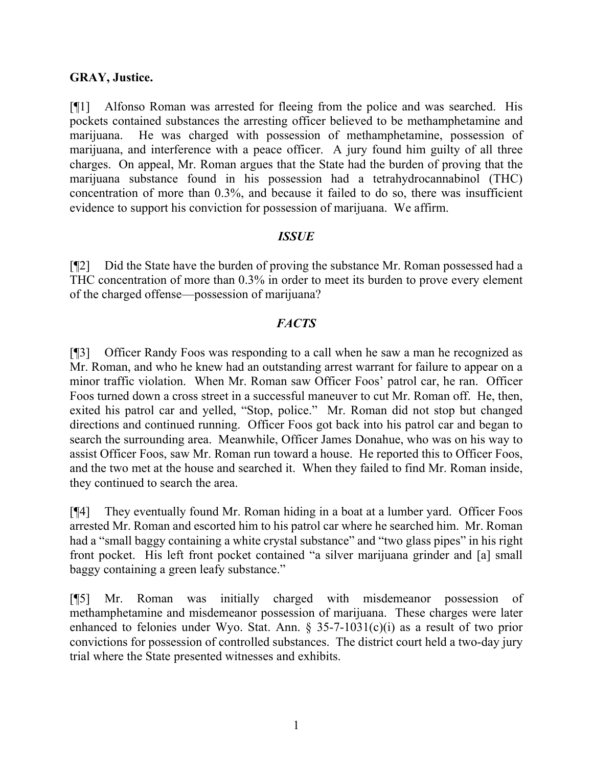### **GRAY, Justice.**

[¶1] Alfonso Roman was arrested for fleeing from the police and was searched. His pockets contained substances the arresting officer believed to be methamphetamine and marijuana. He was charged with possession of methamphetamine, possession of marijuana, and interference with a peace officer. A jury found him guilty of all three charges. On appeal, Mr. Roman argues that the State had the burden of proving that the marijuana substance found in his possession had a tetrahydrocannabinol (THC) concentration of more than 0.3%, and because it failed to do so, there was insufficient evidence to support his conviction for possession of marijuana. We affirm.

#### *ISSUE*

[¶2] Did the State have the burden of proving the substance Mr. Roman possessed had a THC concentration of more than 0.3% in order to meet its burden to prove every element of the charged offense—possession of marijuana?

## *FACTS*

[¶3] Officer Randy Foos was responding to a call when he saw a man he recognized as Mr. Roman, and who he knew had an outstanding arrest warrant for failure to appear on a minor traffic violation. When Mr. Roman saw Officer Foos' patrol car, he ran. Officer Foos turned down a cross street in a successful maneuver to cut Mr. Roman off. He, then, exited his patrol car and yelled, "Stop, police." Mr. Roman did not stop but changed directions and continued running. Officer Foos got back into his patrol car and began to search the surrounding area. Meanwhile, Officer James Donahue, who was on his way to assist Officer Foos, saw Mr. Roman run toward a house. He reported this to Officer Foos, and the two met at the house and searched it. When they failed to find Mr. Roman inside, they continued to search the area.

[¶4] They eventually found Mr. Roman hiding in a boat at a lumber yard. Officer Foos arrested Mr. Roman and escorted him to his patrol car where he searched him. Mr. Roman had a "small baggy containing a white crystal substance" and "two glass pipes" in his right front pocket. His left front pocket contained "a silver marijuana grinder and [a] small baggy containing a green leafy substance."

[¶5] Mr. Roman was initially charged with misdemeanor possession of methamphetamine and misdemeanor possession of marijuana. These charges were later enhanced to felonies under Wyo. Stat. Ann. § 35-7-1031(c)(i) as a result of two prior convictions for possession of controlled substances. The district court held a two-day jury trial where the State presented witnesses and exhibits.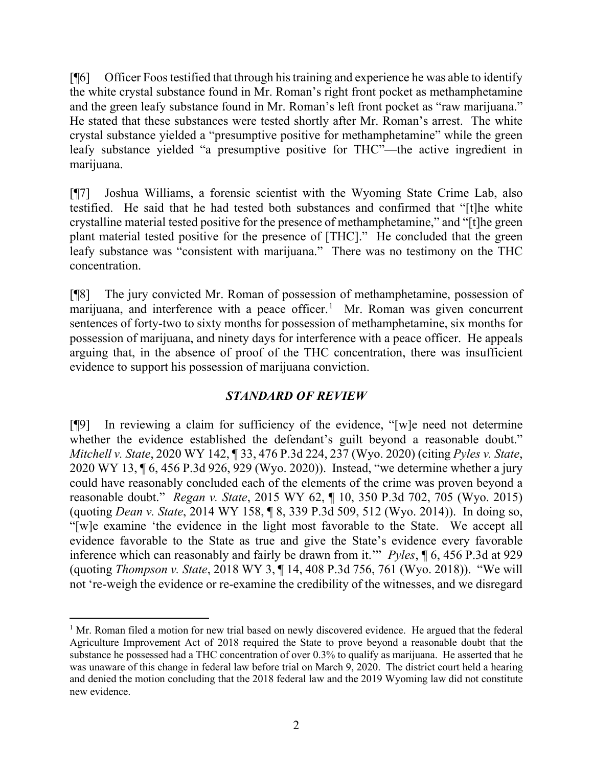[¶6] Officer Foos testified that through his training and experience he was able to identify the white crystal substance found in Mr. Roman's right front pocket as methamphetamine and the green leafy substance found in Mr. Roman's left front pocket as "raw marijuana." He stated that these substances were tested shortly after Mr. Roman's arrest. The white crystal substance yielded a "presumptive positive for methamphetamine" while the green leafy substance yielded "a presumptive positive for THC"—the active ingredient in marijuana.

[¶7] Joshua Williams, a forensic scientist with the Wyoming State Crime Lab, also testified. He said that he had tested both substances and confirmed that "[t]he white crystalline material tested positive for the presence of methamphetamine," and "[t]he green plant material tested positive for the presence of [THC]." He concluded that the green leafy substance was "consistent with marijuana." There was no testimony on the THC concentration.

[¶8] The jury convicted Mr. Roman of possession of methamphetamine, possession of marijuana, and interference with a peace officer.<sup>[1](#page-2-0)</sup> Mr. Roman was given concurrent sentences of forty-two to sixty months for possession of methamphetamine, six months for possession of marijuana, and ninety days for interference with a peace officer. He appeals arguing that, in the absence of proof of the THC concentration, there was insufficient evidence to support his possession of marijuana conviction.

# *STANDARD OF REVIEW*

[¶9] In reviewing a claim for sufficiency of the evidence, "[w]e need not determine whether the evidence established the defendant's guilt beyond a reasonable doubt." *Mitchell v. State*, 2020 WY 142, ¶ 33, 476 P.3d 224, 237 (Wyo. 2020) (citing *Pyles v. State*, 2020 WY 13, ¶ 6, 456 P.3d 926, 929 (Wyo. 2020)). Instead, "we determine whether a jury could have reasonably concluded each of the elements of the crime was proven beyond a reasonable doubt." *Regan v. State*, 2015 WY 62, ¶ 10, 350 P.3d 702, 705 (Wyo. 2015) (quoting *Dean v. State*, 2014 WY 158, ¶ 8, 339 P.3d 509, 512 (Wyo. 2014)). In doing so, "[w]e examine 'the evidence in the light most favorable to the State. We accept all evidence favorable to the State as true and give the State's evidence every favorable inference which can reasonably and fairly be drawn from it.'" *Pyles*, ¶ 6, 456 P.3d at 929 (quoting *Thompson v. State*, 2018 WY 3, ¶ 14, 408 P.3d 756, 761 (Wyo. 2018)). "We will not 're-weigh the evidence or re-examine the credibility of the witnesses, and we disregard

<span id="page-2-0"></span> $1$  Mr. Roman filed a motion for new trial based on newly discovered evidence. He argued that the federal Agriculture Improvement Act of 2018 required the State to prove beyond a reasonable doubt that the substance he possessed had a THC concentration of over 0.3% to qualify as marijuana. He asserted that he was unaware of this change in federal law before trial on March 9, 2020. The district court held a hearing and denied the motion concluding that the 2018 federal law and the 2019 Wyoming law did not constitute new evidence.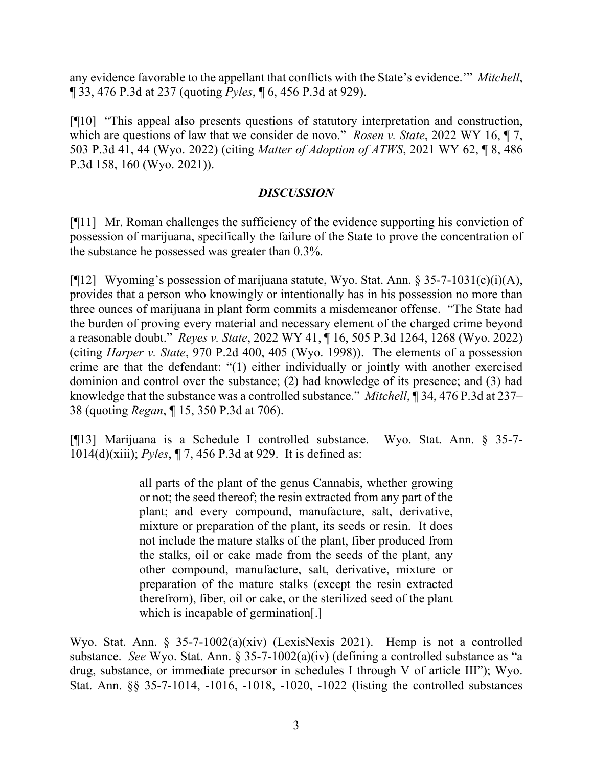any evidence favorable to the appellant that conflicts with the State's evidence.'" *Mitchell*, ¶ 33, 476 P.3d at 237 (quoting *Pyles*, ¶ 6, 456 P.3d at 929).

[¶10] "This appeal also presents questions of statutory interpretation and construction, which are questions of law that we consider de novo." *Rosen v. State*, 2022 WY 16, ¶ 7, 503 P.3d 41, 44 (Wyo. 2022) (citing *Matter of Adoption of ATWS*, 2021 WY 62, ¶ 8, 486 P.3d 158, 160 (Wyo. 2021)).

# *DISCUSSION*

[¶11] Mr. Roman challenges the sufficiency of the evidence supporting his conviction of possession of marijuana, specifically the failure of the State to prove the concentration of the substance he possessed was greater than 0.3%.

[¶12] Wyoming's possession of marijuana statute, Wyo. Stat. Ann. § 35-7-1031(c)(i)(A), provides that a person who knowingly or intentionally has in his possession no more than three ounces of marijuana in plant form commits a misdemeanor offense. "The State had the burden of proving every material and necessary element of the charged crime beyond a reasonable doubt." *Reyes v. State*, 2022 WY 41, ¶ 16, 505 P.3d 1264, 1268 (Wyo. 2022) (citing *Harper v. State*, 970 P.2d 400, 405 (Wyo. 1998)). The elements of a possession crime are that the defendant: "(1) either individually or jointly with another exercised dominion and control over the substance; (2) had knowledge of its presence; and (3) had knowledge that the substance was a controlled substance." *Mitchell*, ¶ 34, 476 P.3d at 237– 38 (quoting *Regan*, ¶ 15, 350 P.3d at 706).

[¶13] Marijuana is a Schedule I controlled substance. Wyo. Stat. Ann. § 35-7- 1014(d)(xiii); *Pyles*, ¶ 7, 456 P.3d at 929. It is defined as:

> all parts of the plant of the genus Cannabis, whether growing or not; the seed thereof; the resin extracted from any part of the plant; and every compound, manufacture, salt, derivative, mixture or preparation of the plant, its seeds or resin. It does not include the mature stalks of the plant, fiber produced from the stalks, oil or cake made from the seeds of the plant, any other compound, manufacture, salt, derivative, mixture or preparation of the mature stalks (except the resin extracted therefrom), fiber, oil or cake, or the sterilized seed of the plant which is incapable of germination[.]

Wyo. Stat. Ann. § 35-7-1002(a)(xiv) (LexisNexis 2021). Hemp is not a controlled substance. *See* Wyo. Stat. Ann. § 35-7-1002(a)(iv) (defining a controlled substance as "a drug, substance, or immediate precursor in schedules I through V of article III"); Wyo. Stat. Ann. §§ 35-7-1014, -1016, -1018, -1020, -1022 (listing the controlled substances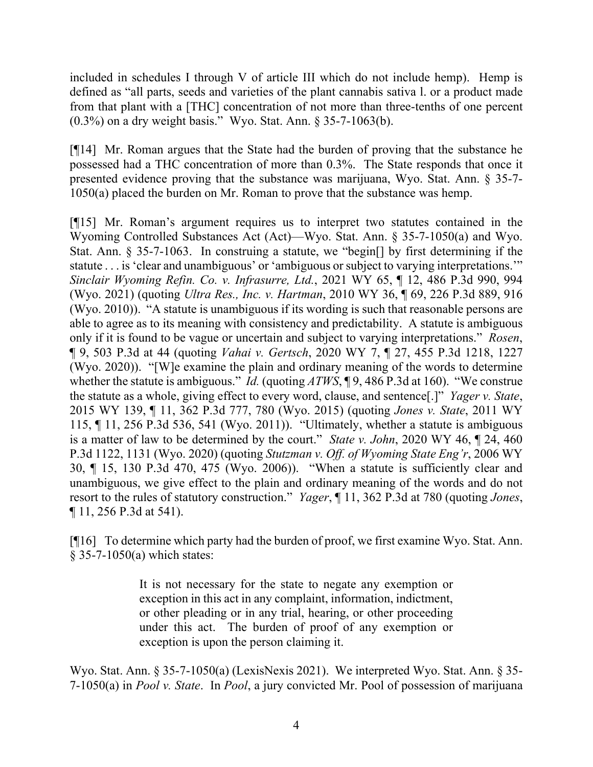included in schedules I through V of article III which do not include hemp). Hemp is defined as "all parts, seeds and varieties of the plant cannabis sativa l. or a product made from that plant with a [THC] concentration of not more than three-tenths of one percent (0.3%) on a dry weight basis." Wyo. Stat. Ann. § 35-7-1063(b).

[¶14] Mr. Roman argues that the State had the burden of proving that the substance he possessed had a THC concentration of more than 0.3%. The State responds that once it presented evidence proving that the substance was marijuana, Wyo. Stat. Ann. § 35-7- 1050(a) placed the burden on Mr. Roman to prove that the substance was hemp.

[¶15] Mr. Roman's argument requires us to interpret two statutes contained in the Wyoming Controlled Substances Act (Act)—Wyo. Stat. Ann. § 35-7-1050(a) and Wyo. Stat. Ann. § 35-7-1063. In construing a statute, we "begin[] by first determining if the statute . . . is 'clear and unambiguous' or 'ambiguous or subject to varying interpretations.'" *Sinclair Wyoming Refin. Co. v. Infrasurre, Ltd.*, 2021 WY 65, ¶ 12, 486 P.3d 990, 994 (Wyo. 2021) (quoting *Ultra Res., Inc. v. Hartman*, 2010 WY 36, ¶ 69, 226 P.3d 889, 916 (Wyo. 2010)). "A statute is unambiguous if its wording is such that reasonable persons are able to agree as to its meaning with consistency and predictability. A statute is ambiguous only if it is found to be vague or uncertain and subject to varying interpretations." *Rosen*, ¶ 9, 503 P.3d at 44 (quoting *Vahai v. Gertsch*, 2020 WY 7, ¶ 27, 455 P.3d 1218, 1227 (Wyo. 2020)). "[W]e examine the plain and ordinary meaning of the words to determine whether the statute is ambiguous." *Id.* (quoting *ATWS*, ¶ 9, 486 P.3d at 160). "We construe the statute as a whole, giving effect to every word, clause, and sentence[.]" *Yager v. State*, 2015 WY 139, ¶ 11, 362 P.3d 777, 780 (Wyo. 2015) (quoting *Jones v. State*, 2011 WY 115, ¶ 11, 256 P.3d 536, 541 (Wyo. 2011)). "Ultimately, whether a statute is ambiguous is a matter of law to be determined by the court." *State v. John*, 2020 WY 46, ¶ 24, 460 P.3d 1122, 1131 (Wyo. 2020) (quoting *Stutzman v. Off. of Wyoming State Eng'r*, 2006 WY 30, ¶ 15, 130 P.3d 470, 475 (Wyo. 2006)). "When a statute is sufficiently clear and unambiguous, we give effect to the plain and ordinary meaning of the words and do not resort to the rules of statutory construction." *Yager*, ¶ 11, 362 P.3d at 780 (quoting *Jones*, ¶ 11, 256 P.3d at 541).

[¶16] To determine which party had the burden of proof, we first examine Wyo. Stat. Ann. § 35-7-1050(a) which states:

> It is not necessary for the state to negate any exemption or exception in this act in any complaint, information, indictment, or other pleading or in any trial, hearing, or other proceeding under this act. The burden of proof of any exemption or exception is upon the person claiming it.

Wyo. Stat. Ann. § 35-7-1050(a) (LexisNexis 2021). We interpreted Wyo. Stat. Ann. § 35-7-1050(a) in *Pool v. State*. In *Pool*, a jury convicted Mr. Pool of possession of marijuana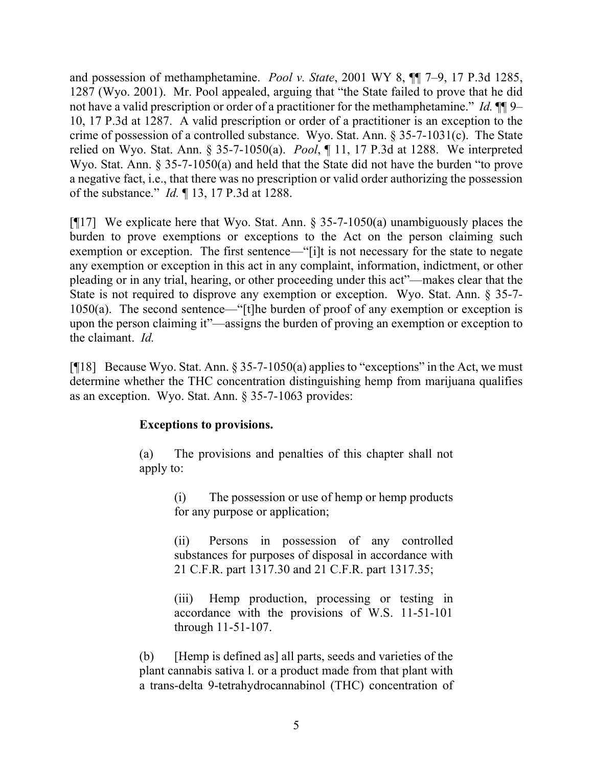and possession of methamphetamine. *Pool v. State*, 2001 WY 8, ¶¶ 7–9, 17 P.3d 1285, 1287 (Wyo. 2001). Mr. Pool appealed, arguing that "the State failed to prove that he did not have a valid prescription or order of a practitioner for the methamphetamine." *Id.*  $\P\P$ 9– 10, 17 P.3d at 1287. A valid prescription or order of a practitioner is an exception to the crime of possession of a controlled substance. Wyo. Stat. Ann. § 35-7-1031(c). The State relied on Wyo. Stat. Ann. § 35-7-1050(a). *Pool*, ¶ 11, 17 P.3d at 1288. We interpreted Wyo. Stat. Ann. § 35-7-1050(a) and held that the State did not have the burden "to prove a negative fact, i.e., that there was no prescription or valid order authorizing the possession of the substance." *Id.* ¶ 13, 17 P.3d at 1288.

[ $[17]$ ] We explicate here that Wyo. Stat. Ann. § 35-7-1050(a) unambiguously places the burden to prove exemptions or exceptions to the Act on the person claiming such exemption or exception. The first sentence—"[i]t is not necessary for the state to negate any exemption or exception in this act in any complaint, information, indictment, or other pleading or in any trial, hearing, or other proceeding under this act"—makes clear that the State is not required to disprove any exemption or exception. Wyo. Stat. Ann. § 35-7- 1050(a).The second sentence—"[t]he burden of proof of any exemption or exception is upon the person claiming it"—assigns the burden of proving an exemption or exception to the claimant. *Id.*

[ $[$ [18] Because Wyo. Stat. Ann. § 35-7-1050(a) applies to "exceptions" in the Act, we must determine whether the THC concentration distinguishing hemp from marijuana qualifies as an exception. Wyo. Stat. Ann. § 35-7-1063 provides:

# **Exceptions to provisions.**

(a) The provisions and penalties of this chapter shall not apply to:

> (i) The possession or use of hemp or hemp products for any purpose or application;

> (ii) Persons in possession of any controlled substances for purposes of disposal in accordance with 21 C.F.R. part 1317.30 and 21 C.F.R. part 1317.35;

> (iii) Hemp production, processing or testing in accordance with the provisions of W.S. 11-51-101 through 11-51-107.

(b) [Hemp is defined as] all parts, seeds and varieties of the plant cannabis sativa l. or a product made from that plant with a trans-delta 9-tetrahydrocannabinol (THC) concentration of